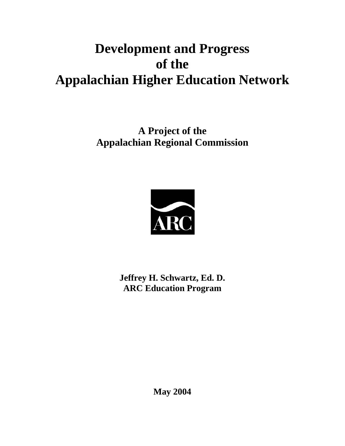**A Project of the Appalachian Regional Commission** 



**Jeffrey H. Schwartz, Ed. D. ARC Education Program** 

**May 2004**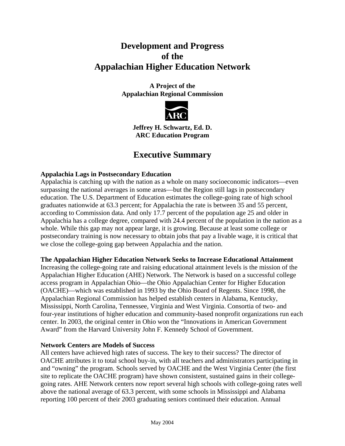**A Project of the Appalachian Regional Commission** 



**Jeffrey H. Schwartz, Ed. D. ARC Education Program** 

# **Executive Summary**

# **Appalachia Lags in Postsecondary Education**

Appalachia is catching up with the nation as a whole on many socioeconomic indicators—even surpassing the national averages in some areas—but the Region still lags in postsecondary education. The U.S. Department of Education estimates the college-going rate of high school graduates nationwide at 63.3 percent; for Appalachia the rate is between 35 and 55 percent, according to Commission data. And only 17.7 percent of the population age 25 and older in Appalachia has a college degree, compared with 24.4 percent of the population in the nation as a whole. While this gap may not appear large, it is growing. Because at least some college or postsecondary training is now necessary to obtain jobs that pay a livable wage, it is critical that we close the college-going gap between Appalachia and the nation.

**The Appalachian Higher Education Network Seeks to Increase Educational Attainment** 

Increasing the college-going rate and raising educational attainment levels is the mission of the Appalachian Higher Education (AHE) Network. The Network is based on a successful college access program in Appalachian Ohio—the Ohio Appalachian Center for Higher Education (OACHE)—which was established in 1993 by the Ohio Board of Regents. Since 1998, the Appalachian Regional Commission has helped establish centers in Alabama, Kentucky, Mississippi, North Carolina, Tennessee, Virginia and West Virginia. Consortia of two- and four-year institutions of higher education and community-based nonprofit organizations run each center. In 2003, the original center in Ohio won the "Innovations in American Government Award" from the Harvard University John F. Kennedy School of Government.

### **Network Centers are Models of Success**

All centers have achieved high rates of success. The key to their success? The director of OACHE attributes it to total school buy-in, with all teachers and administrators participating in and "owning" the program. Schools served by OACHE and the West Virginia Center (the first site to replicate the OACHE program) have shown consistent, sustained gains in their collegegoing rates. AHE Network centers now report several high schools with college-going rates well above the national average of 63.3 percent, with some schools in Mississippi and Alabama reporting 100 percent of their 2003 graduating seniors continued their education. Annual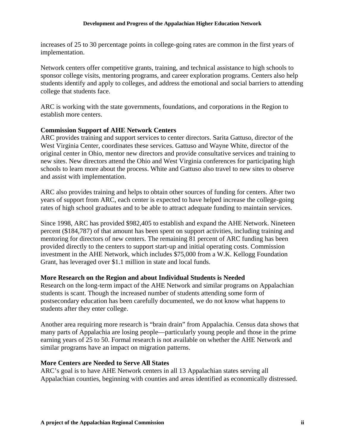increases of 25 to 30 percentage points in college-going rates are common in the first years of implementation.

Network centers offer competitive grants, training, and technical assistance to high schools to sponsor college visits, mentoring programs, and career exploration programs. Centers also help students identify and apply to colleges, and address the emotional and social barriers to attending college that students face.

ARC is working with the state governments, foundations, and corporations in the Region to establish more centers.

### **Commission Support of AHE Network Centers**

ARC provides training and support services to center directors. Sarita Gattuso, director of the West Virginia Center, coordinates these services. Gattuso and Wayne White, director of the original center in Ohio, mentor new directors and provide consultative services and training to new sites. New directors attend the Ohio and West Virginia conferences for participating high schools to learn more about the process. White and Gattuso also travel to new sites to observe and assist with implementation.

ARC also provides training and helps to obtain other sources of funding for centers. After two years of support from ARC, each center is expected to have helped increase the college-going rates of high school graduates and to be able to attract adequate funding to maintain services.

Since 1998, ARC has provided \$982,405 to establish and expand the AHE Network. Nineteen percent (\$184,787) of that amount has been spent on support activities, including training and mentoring for directors of new centers. The remaining 81 percent of ARC funding has been provided directly to the centers to support start-up and initial operating costs. Commission investment in the AHE Network, which includes \$75,000 from a W.K. Kellogg Foundation Grant, has leveraged over \$1.1 million in state and local funds.

#### **More Research on the Region and about Individual Students is Needed**

Research on the long-term impact of the AHE Network and similar programs on Appalachian students is scant. Though the increased number of students attending some form of postsecondary education has been carefully documented, we do not know what happens to students after they enter college.

Another area requiring more research is "brain drain" from Appalachia. Census data shows that many parts of Appalachia are losing people—particularly young people and those in the prime earning years of 25 to 50. Formal research is not available on whether the AHE Network and similar programs have an impact on migration patterns.

#### **More Centers are Needed to Serve All States**

ARC's goal is to have AHE Network centers in all 13 Appalachian states serving all Appalachian counties, beginning with counties and areas identified as economically distressed.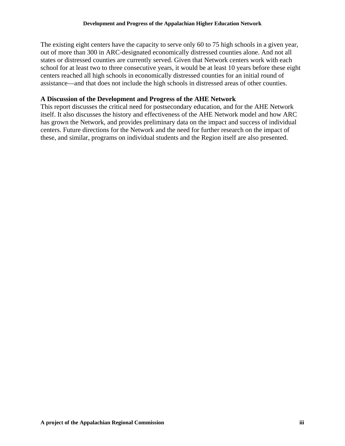The existing eight centers have the capacity to serve only 60 to 75 high schools in a given year, out of more than 300 in ARC-designated economically distressed counties alone. And not all states or distressed counties are currently served. Given that Network centers work with each school for at least two to three consecutive years, it would be at least 10 years before these eight centers reached all high schools in economically distressed counties for an initial round of assistance—and that does not include the high schools in distressed areas of other counties.

#### **A Discussion of the Development and Progress of the AHE Network**

This report discusses the critical need for postsecondary education, and for the AHE Network itself. It also discusses the history and effectiveness of the AHE Network model and how ARC has grown the Network, and provides preliminary data on the impact and success of individual centers. Future directions for the Network and the need for further research on the impact of these, and similar, programs on individual students and the Region itself are also presented.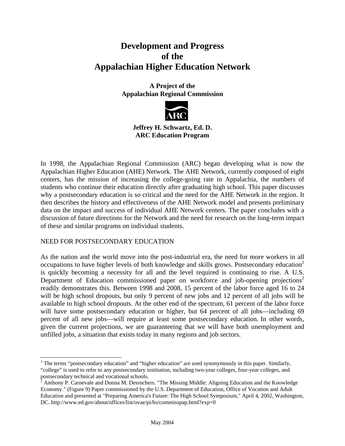## **A Project of the Appalachian Regional Commission**



# **Jeffrey H. Schwartz, Ed. D. ARC Education Program**

In 1998, the Appalachian Regional Commission (ARC) began developing what is now the Appalachian Higher Education (AHE) Network. The AHE Network, currently composed of eight centers, has the mission of increasing the college-going rate in Appalachia, the numbers of students who continue their education directly after graduating high school. This paper discusses why a postsecondary education is so critical and the need for the AHE Network in the region. It then describes the history and effectiveness of the AHE Network model and presents preliminary data on the impact and success of individual AHE Network centers. The paper concludes with a discussion of future directions for the Network and the need for research on the long-term impact of these and similar programs on individual students.

### NEED FOR POSTSECONDARY EDUCATION

As the nation and the world move into the post-industrial era, the need for more workers in all occupations to have higher levels of both knowledge and skills grows. Postsecondary education is quickly becoming a necessity for all and the level required is continuing to rise. A U.S. Department of Education commissioned paper on workforce and job-opening projections<sup>2</sup> readily demonstrates this. Between 1998 and 2008, 15 percent of the labor force aged 16 to 24 will be high school dropouts, but only 9 percent of new jobs and 12 percent of all jobs will be available to high school dropouts. At the other end of the spectrum, 61 percent of the labor force will have some postsecondary education or higher, but 64 percent of all jobs—including 69 percent of all new jobs—will require at least some postsecondary education. In other words, given the current projections, we are guaranteeing that we will have both unemployment and unfilled jobs, a situation that exists today in many regions and job sectors.

 $\overline{a}$ <sup>1</sup> The terms "postsecondary education" and "higher education" are used synonymously in this paper. Similarly, "college" is used to refer to any postsecondary institution, including two-year colleges, four-year colleges, and postsecondary technical and vocational schools.<br><sup>2</sup> Anthony P. Carnevale and Donna M. Desrochers. "The Missing Middle: Aligning Education and the Knowledge

Economy." (Figure 9) Paper commissioned by the U.S. Department of Education, Office of Vocation and Adult Education and presented at "Preparing America's Future: The High School Symposium," April 4, 2002, Washington, DC. http://www.ed.gov/about/offices/list/ovae/pi/hs/commisspap.html?exp=0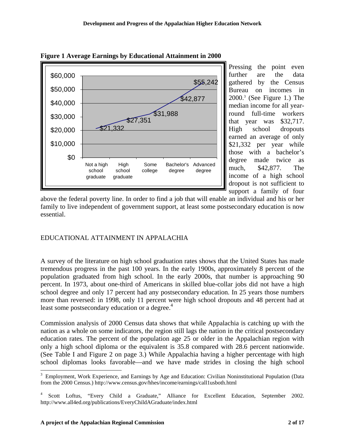

Pressing the point even further are the data gathered by the Census Bureau on incomes in 2000.3 (See Figure 1.) The median income for all yearround full-time workers that year was \$32,717. High school dropouts earned an average of only \$21,332 per year while those with a bachelor's degree made twice as much, \$42,877. The income of a high school dropout is not sufficient to support a family of four

above the federal poverty line. In order to find a job that will enable an individual and his or her family to live independent of government support, at least some postsecondary education is now essential.

# EDUCATIONAL ATTAINMENT IN APPALACHIA

A survey of the literature on high school graduation rates shows that the United States has made tremendous progress in the past 100 years. In the early 1900s, approximately 8 percent of the population graduated from high school. In the early 2000s, that number is approaching 90 percent. In 1973, about one-third of Americans in skilled blue-collar jobs did not have a high school degree and only 17 percent had any postsecondary education. In 25 years those numbers more than reversed: in 1998, only 11 percent were high school dropouts and 48 percent had at least some postsecondary education or a degree.<sup>4</sup>

Commission analysis of 2000 Census data shows that while Appalachia is catching up with the nation as a whole on some indicators, the region still lags the nation in the critical postsecondary education rates. The percent of the population age 25 or older in the Appalachian region with only a high school diploma or the equivalent is 35.8 compared with 28.6 percent nationwide. (See Table I and Figure 2 on page 3.) While Appalachia having a higher percentage with high school diplomas looks favorable—and we have made strides in closing the high school

 $\overline{a}$ 

<sup>&</sup>lt;sup>3</sup> Employment, Work Experience, and Earnings by Age and Education: Civilian Noninstitutional Population (Data from the 2000 Census.) http://www.census.gov/hhes/income/earnings/call1usboth.html

<sup>4</sup> Scott Loftus, "Every Child a Graduate," Alliance for Excellent Education, September 2002. http://www.all4ed.org/publications/EveryChildAGraduate/index.html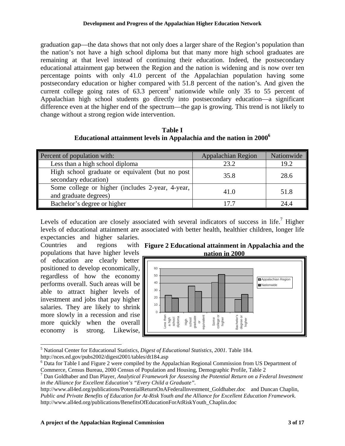graduation gap—the data shows that not only does a larger share of the Region's population than the nation's not have a high school diploma but that many more high school graduates are remaining at that level instead of continuing their education. Indeed, the postsecondary educational attainment gap between the Region and the nation is widening and is now over ten percentage points with only 41.0 percent of the Appalachian population having some postsecondary education or higher compared with 51.8 percent of the nation's. And given the current college going rates of  $63.3$  percent<sup>5</sup> nationwide while only 35 to 55 percent of Appalachian high school students go directly into postsecondary education—a significant difference even at the higher end of the spectrum—the gap is growing. This trend is not likely to change without a strong region wide intervention.

**Table I Educational attainment levels in Appalachia and the nation in 20006**

| Percent of population with:                                               | <b>Appalachian Region</b> | Nationwide |
|---------------------------------------------------------------------------|---------------------------|------------|
| Less than a high school diploma                                           | 23.2                      | 19.2       |
| High school graduate or equivalent (but no post<br>secondary education)   | 35.8                      | 28.6       |
| Some college or higher (includes 2-year, 4-year,<br>and graduate degrees) | 41.0                      | 51.8       |
| Bachelor's degree or higher                                               | 17 7                      | 24.4       |

Levels of education are closely associated with several indicators of success in life.<sup>7</sup> Higher levels of educational attainment are associated with better health, healthier children, longer life expectancies and higher salaries.

Countries and regions populations that have higher levels of education are clearly better positioned to develop economically, regardless of how the economy performs overall. Such areas will be able to attract higher levels of investment and jobs that pay higher salaries. They are likely to shrink more slowly in a recession and rise more quickly when the overall economy is strong. Likewise,

**Figure 2 Educational attainment in Appalachia and the nation in 2000** 



 5 National Center for Educational Statistics, *Digest of Educational Statistics, 2001.* Table 184. http://nces.ed.gov/pubs2002/digest2001/tables/dt184.asp

<sup>&</sup>lt;sup>6</sup> Data for Table I and Figure 2 were compiled by the Appalachian Regional Commission from US Department of Commerce, Census Bureau, 2000 Census of Population and Housing, Demographic Profile, Table 2

<sup>7</sup> Dan Goldhaber and Dan Player, *Analytical Framework for Assessing the Potential Return on a Federal Investment in the Alliance for Excellent Education's "Every Child a Graduate".* 

http://www.all4ed.org/publications/PotentialReturnOnAFederalInvestment\_Goldhaber.doc and Duncan Chaplin, *Public and Private Benefits of Education for At-Risk Youth and the Alliance for Excellent Education Framework.*  http://www.all4ed.org/publications/BenefitsOfEducationForAtRiskYouth\_Chaplin.doc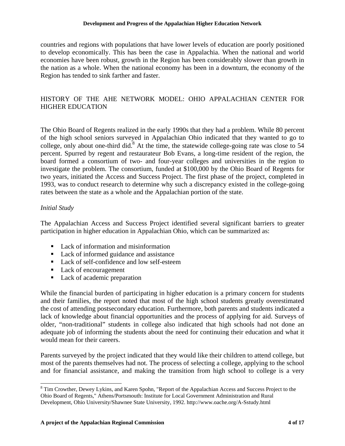countries and regions with populations that have lower levels of education are poorly positioned to develop economically. This has been the case in Appalachia. When the national and world economies have been robust, growth in the Region has been considerably slower than growth in the nation as a whole. When the national economy has been in a downturn, the economy of the Region has tended to sink farther and faster.

## HISTORY OF THE AHE NETWORK MODEL: OHIO APPALACHIAN CENTER FOR HIGHER EDUCATION

The Ohio Board of Regents realized in the early 1990s that they had a problem. While 80 percent of the high school seniors surveyed in Appalachian Ohio indicated that they wanted to go to college, only about one-third did.<sup>8</sup> At the time, the statewide college-going rate was close to 54 percent. Spurred by regent and restaurateur Bob Evans, a long-time resident of the region, the board formed a consortium of two- and four-year colleges and universities in the region to investigate the problem. The consortium, funded at \$100,000 by the Ohio Board of Regents for two years, initiated the Access and Success Project. The first phase of the project, completed in 1993, was to conduct research to determine why such a discrepancy existed in the college-going rates between the state as a whole and the Appalachian portion of the state.

#### *Initial Study*

The Appalachian Access and Success Project identified several significant barriers to greater participation in higher education in Appalachian Ohio, which can be summarized as:

- Lack of information and misinformation
- Lack of informed guidance and assistance
- Lack of self-confidence and low self-esteem
- Lack of encouragement
- Lack of academic preparation

While the financial burden of participating in higher education is a primary concern for students and their families, the report noted that most of the high school students greatly overestimated the cost of attending postsecondary education. Furthermore, both parents and students indicated a lack of knowledge about financial opportunities and the process of applying for aid. Surveys of older, "non-traditional" students in college also indicated that high schools had not done an adequate job of informing the students about the need for continuing their education and what it would mean for their careers.

Parents surveyed by the project indicated that they would like their children to attend college, but most of the parents themselves had not. The process of selecting a college, applying to the school and for financial assistance, and making the transition from high school to college is a very

l <sup>8</sup> Tim Crowther, Dewey Lykins, and Karen Spohn, "Report of the Appalachian Access and Success Project to the Ohio Board of Regents," Athens/Portsmouth: Institute for Local Government Administration and Rural Development, Ohio University/Shawnee State University, 1992. http://www.oache.org/A-Sstudy.html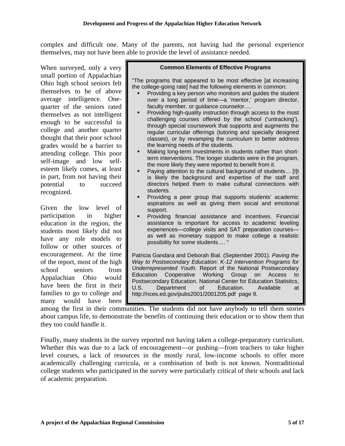complex and difficult one. Many of the parents, not having had the personal experience themselves, may not have been able to provide the level of assistance needed.

When surveyed, only a very small portion of Appalachian Ohio high school seniors felt themselves to be of above average intelligence. Onequarter of the seniors rated themselves as not intelligent enough to be successful in college and another quarter thought that their poor school grades would be a barrier to attending college. This poor self-image and low selfesteem likely comes, at least in part, from not having their potential to succeed recognized.

Given the low level of participation in higher education in the region, the students most likely did not have any role models to follow or other sources of encouragement. At the time of the report, most of the high school seniors from Appalachian Ohio would have been the first in their families to go to college and many would have been

#### **Common Elements of Effective Programs**

"The programs that appeared to be most effective [at increasing the college-going rate] had the following elements in common:

- Providing a key person who monitors and guides the student over a long period of time—a 'mentor,' program director, faculty member, or guidance counselor….
- Providing high-quality instruction through access to the most challenging courses offered by the school ('untracking'), through special coursework that supports and augments the regular curricular offerings (tutoring and specially designed classes), or by revamping the curriculum to better address the learning needs of the students.
- Making long-term investments in students rather than shortterm interventions. The longer students were in the program, the more likely they were reported to benefit from it.
- Paying attention to the cultural background of students… [I]t is likely the background and expertise of the staff and directors helped them to make cultural connections with students.
- Providing a peer group that supports students' academic aspirations as well as giving them social and emotional support.
- Providing financial assistance and incentives. Financial assistance is important for access to academic leveling experiences—college visits and SAT preparation courses as well as monetary support to make college a realistic possibility for some students…. "

Patricia Gandara and Deborah Bial. (September 2001). *Paving the Way to Postsecondary Education: K-12 Intervention Programs for Underrepresented Youth.* Report of the National Postsecondary Education Cooperative Working Group on Access to Postsecondary Education. National Center for Education Statistics, U.S. Department of Education. Available at http://nces.ed.gov/pubs2001/2001205.pdf page 9.

among the first in their communities. The students did not have anybody to tell them stories about campus life, to demonstrate the benefits of continuing their education or to show them that they too could handle it.

Finally, many students in the survey reported not having taken a college-preparatory curriculum. Whether this was due to a lack of encouragement—or pushing—from teachers to take higher level courses, a lack of resources in the mostly rural, low-income schools to offer more academically challenging curricula, or a combination of both is not known. Nontraditional college students who participated in the survey were particularly critical of their schools and lack of academic preparation.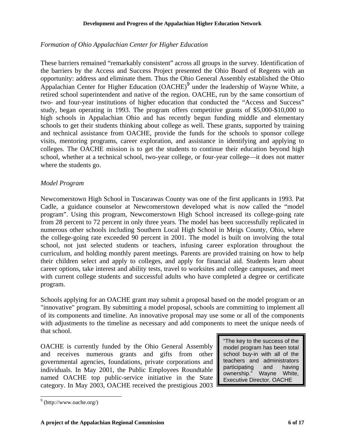# *Formation of Ohio Appalachian Center for Higher Education*

These barriers remained "remarkably consistent" across all groups in the survey. Identification of the barriers by the Access and Success Project presented the Ohio Board of Regents with an opportunity: address and eliminate them. Thus the Ohio General Assembly established the Ohio Appalachian Center for Higher Education  $(OACHE)^9$  under the leadership of Wayne White, a retired school superintendent and native of the region. OACHE, run by the same consortium of two- and four-year institutions of higher education that conducted the "Access and Success" study, began operating in 1993. The program offers competitive grants of \$5,000-\$10,000 to high schools in Appalachian Ohio and has recently begun funding middle and elementary schools to get their students thinking about college as well. These grants, supported by training and technical assistance from OACHE, provide the funds for the schools to sponsor college visits, mentoring programs, career exploration, and assistance in identifying and applying to colleges. The OACHE mission is to get the students to continue their education beyond high school, whether at a technical school, two-year college, or four-year college—it does not matter where the students go.

# *Model Program*

Newcomerstown High School in Tuscarawas County was one of the first applicants in 1993. Pat Cadle, a guidance counselor at Newcomerstown developed what is now called the "model program". Using this program, Newcomerstown High School increased its college-going rate from 28 percent to 72 percent in only three years. The model has been successfully replicated in numerous other schools including Southern Local High School in Meigs County, Ohio, where the college-going rate exceeded 90 percent in 2001. The model is built on involving the total school, not just selected students or teachers, infusing career exploration throughout the curriculum, and holding monthly parent meetings. Parents are provided training on how to help their children select and apply to colleges, and apply for financial aid. Students learn about career options, take interest and ability tests, travel to worksites and college campuses, and meet with current college students and successful adults who have completed a degree or certificate program.

Schools applying for an OACHE grant may submit a proposal based on the model program or an "innovative" program. By submitting a model proposal, schools are committing to implement all of its components and timeline. An innovative proposal may use some or all of the components with adjustments to the timeline as necessary and add components to meet the unique needs of that school.

OACHE is currently funded by the Ohio General Assembly and receives numerous grants and gifts from other governmental agencies, foundations, private corporations and individuals. In May 2001, the Public Employees Roundtable named OACHE top public-service initiative in the State category. In May 2003, OACHE received the prestigious 2003 "The key to the success of the model program has been total school buy-in with all of the teachers and administrators participating and having ownership." Wayne White, Executive Director, OACHE

 $\overline{a}$ 

 $9$  (http://www.oache.org/)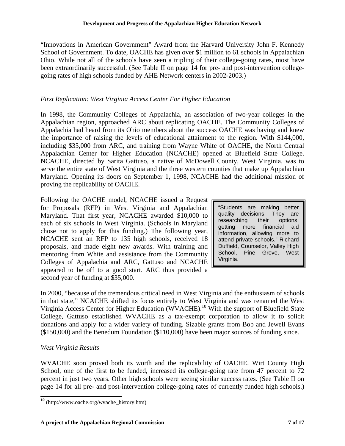"Innovations in American Government" Award from the Harvard University John F. Kennedy School of Government. To date, OACHE has given over \$1 million to 61 schools in Appalachian Ohio. While not all of the schools have seen a tripling of their college-going rates, most have been extraordinarily successful. (See Table II on page 14 for pre- and post-intervention collegegoing rates of high schools funded by AHE Network centers in 2002-2003.)

## *First Replication: West Virginia Access Center For Higher Education*

In 1998, the Community Colleges of Appalachia, an association of two-year colleges in the Appalachian region, approached ARC about replicating OACHE. The Community Colleges of Appalachia had heard from its Ohio members about the success OACHE was having and knew the importance of raising the levels of educational attainment to the region. With \$144,000, including \$35,000 from ARC, and training from Wayne White of OACHE, the North Central Appalachian Center for Higher Education (NCACHE) opened at Bluefield State College. NCACHE, directed by Sarita Gattuso, a native of McDowell County, West Virginia, was to serve the entire state of West Virginia and the three western counties that make up Appalachian Maryland. Opening its doors on September 1, 1998, NCACHE had the additional mission of proving the replicability of OACHE.

Following the OACHE model, NCACHE issued a Request for Proposals (RFP) in West Virginia and Appalachian Maryland. That first year, NCACHE awarded \$10,000 to each of six schools in West Virginia. (Schools in Maryland chose not to apply for this funding.) The following year, NCACHE sent an RFP to 135 high schools, received 18 proposals, and made eight new awards. With training and mentoring from White and assistance from the Community Colleges of Appalachia and ARC, Gattuso and NCACHE appeared to be off to a good start. ARC thus provided a second year of funding at \$35,000.

"Students are making better quality decisions. They are researching their options, getting more financial aid information, allowing more to attend private schools." Richard Duffield, Counselor, Valley High School, Pine Grove, West Virginia.

In 2000, "because of the tremendous critical need in West Virginia and the enthusiasm of schools in that state," NCACHE shifted its focus entirely to West Virginia and was renamed the West Virginia Access Center for Higher Education (WVACHE).<sup>10</sup> With the support of Bluefield State College, Gattuso established WVACHE as a tax-exempt corporation to allow it to solicit donations and apply for a wider variety of funding. Sizable grants from Bob and Jewell Evans (\$150,000) and the Benedum Foundation (\$110,000) have been major sources of funding since.

### *West Virginia Results*

WVACHE soon proved both its worth and the replicability of OACHE. Wirt County High School, one of the first to be funded, increased its college-going rate from 47 percent to 72 percent in just two years. Other high schools were seeing similar success rates. (See Table II on page 14 for all pre- and post-intervention college-going rates of currently funded high schools.)

 $\overline{a}$ **<sup>10</sup>** (http://www.oache.org/wvache\_history.htm)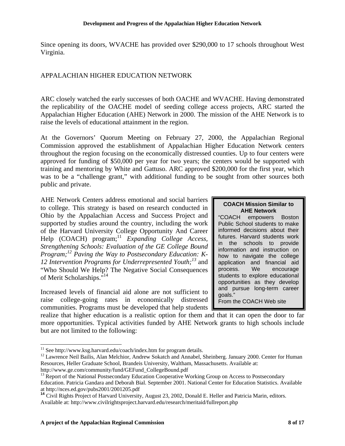Since opening its doors, WVACHE has provided over \$290,000 to 17 schools throughout West Virginia.

# APPALACHIAN HIGHER EDUCATION NETWORK

ARC closely watched the early successes of both OACHE and WVACHE. Having demonstrated the replicability of the OACHE model of seeding college access projects, ARC started the Appalachian Higher Education (AHE) Network in 2000. The mission of the AHE Network is to raise the levels of educational attainment in the region.

At the Governors' Quorum Meeting on February 27, 2000, the Appalachian Regional Commission approved the establishment of Appalachian Higher Education Network centers throughout the region focusing on the economically distressed counties. Up to four centers were approved for funding of \$50,000 per year for two years; the centers would be supported with training and mentoring by White and Gattuso. ARC approved \$200,000 for the first year, which was to be a "challenge grant," with additional funding to be sought from other sources both public and private.

AHE Network Centers address emotional and social barriers to college. This strategy is based on research conducted in Ohio by the Appalachian Access and Success Project and supported by studies around the country, including the work of the Harvard University College Opportunity And Career Help (COACH) program;<sup>11</sup> *Expanding College Access*, *Strengthening Schools: Evaluation of the GE College Bound Program;<sup>12</sup> Paving the Way to Postsecondary Education: K-12 Intervention Programs for Underrepresented Youth;<sup>13</sup>* and "Who Should We Help? The Negative Social Consequences of Merit Scholarships."14

Increased levels of financial aid alone are not sufficient to raise college-going rates in economically distressed communities. Programs must be developed that help students

# **COACH Mission Similar to**

**AHE Network**<br>COACH empowers<sup>#</sup> empowers Boston Public School students to make informed decisions about their futures. Harvard students work in the schools to provide information and instruction on how to navigate the college application and financial aid process. We encourage students to explore educational opportunities as they develop and pursue long-term career goals."

From the COACH Web site

realize that higher education is a realistic option for them and that it can open the door to far more opportunities. Typical activities funded by AHE Network grants to high schools include but are not limited to the following:

l  $11$  See http://www.ksg.harvard.edu/coach/index.htm for program details.

<sup>&</sup>lt;sup>12</sup> Lawrence Neil Bailis, Alan Melchior, Andrew Sokatch and Annabel, Sheinberg. January 2000. Center for Human Resources, Heller Graduate School, Brandeis University, Waltham, Massachusetts. Available at:

http://www.ge.com/community/fund/GEFund\_CollegeBound.pdf<br><sup>13</sup> Report of the National Postsecondary Education Cooperative Working Group on Access to Postsecondary Education. Patricia Gandara and Deborah Bial. September 2001. National Center for Education Statistics. Available at http://nces.ed.gov/pubs2001/2001205.pdf

**<sup>14</sup>** Civil Rights Project of Harvard University, August 23, 2002, Donald E. Heller and Patricia Marin, editors. Available at: http://www.civilrightsproject.harvard.edu/research/meritaid/fullreport.php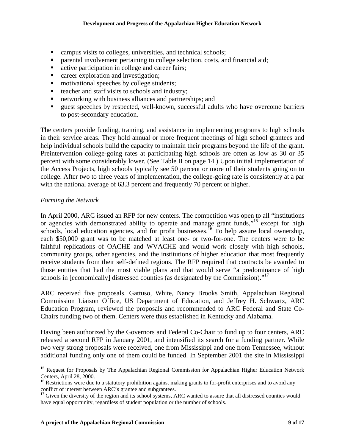- campus visits to colleges, universities, and technical schools;
- parental involvement pertaining to college selection, costs, and financial aid;
- active participation in college and career fairs;
- **EXECUTE:** career exploration and investigation;
- motivational speeches by college students;
- teacher and staff visits to schools and industry;
- networking with business alliances and partnerships; and
- quest speeches by respected, well-known, successful adults who have overcome barriers to post-secondary education.

The centers provide funding, training, and assistance in implementing programs to high schools in their service areas. They hold annual or more frequent meetings of high school grantees and help individual schools build the capacity to maintain their programs beyond the life of the grant. Preintervention college-going rates at participating high schools are often as low as 30 or 35 percent with some considerably lower. (See Table II on page 14.) Upon initial implementation of the Access Projects, high schools typically see 50 percent or more of their students going on to college. After two to three years of implementation, the college-going rate is consistently at a par with the national average of 63.3 percent and frequently 70 percent or higher.

#### *Forming the Network*

In April 2000, ARC issued an RFP for new centers. The competition was open to all "institutions or agencies with demonstrated ability to operate and manage grant funds,"15 except for high schools, local education agencies, and for profit businesses.<sup>16</sup> To help assure local ownership, each \$50,000 grant was to be matched at least one- or two-for-one. The centers were to be faithful replications of OACHE and WVACHE and would work closely with high schools, community groups, other agencies, and the institutions of higher education that most frequently receive students from their self-defined regions. The RFP required that contracts be awarded to those entities that had the most viable plans and that would serve "a predominance of high schools in [economically] distressed counties (as designated by the Commission)."<sup>17</sup>

ARC received five proposals. Gattuso, White, Nancy Brooks Smith, Appalachian Regional Commission Liaison Office, US Department of Education, and Jeffrey H. Schwartz, ARC Education Program, reviewed the proposals and recommended to ARC Federal and State Co-Chairs funding two of them. Centers were thus established in Kentucky and Alabama.

Having been authorized by the Governors and Federal Co-Chair to fund up to four centers, ARC released a second RFP in January 2001, and intensified its search for a funding partner. While two very strong proposals were received, one from Mississippi and one from Tennessee, without additional funding only one of them could be funded. In September 2001 the site in Mississippi

l <sup>15</sup> Request for Proposals by The Appalachian Regional Commission for Appalachian Higher Education Network Centers, April 28, 2000.

 $16$  Restrictions were due to a statutory prohibition against making grants to for-profit enterprises and to avoid any conflict of interest between ARC's grantee and subgrantees.

<sup>&</sup>lt;sup>17</sup> Given the diversity of the region and its school systems, ARC wanted to assure that all distressed counties would have equal opportunity, regardless of student population or the number of schools.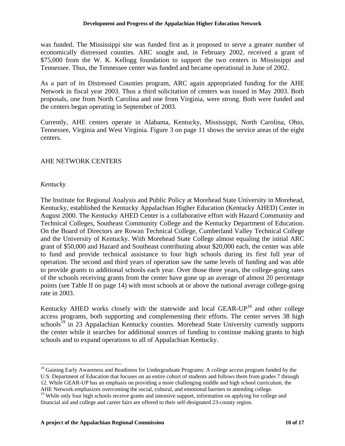was funded. The Mississippi site was funded first as it proposed to serve a greater number of economically distressed counties. ARC sought and, in February 2002, received a grant of \$75,000 from the W. K. Kellogg foundation to support the two centers in Mississippi and Tennessee. Thus, the Tennessee center was funded and became operational in June of 2002.

As a part of its Distressed Counties program, ARC again appropriated funding for the AHE Network in fiscal year 2003. Thus a third solicitation of centers was issued in May 2003. Both proposals, one from North Carolina and one from Virginia, were strong. Both were funded and the centers began operating in September of 2003.

Currently, AHE centers operate in Alabama, Kentucky, Mississippi, North Carolina, Ohio, Tennessee, Virginia and West Virginia. Figure 3 on page 11 shows the service areas of the eight centers.

# AHE NETWORK CENTERS

### *Kentucky*

l

The Institute for Regional Analysis and Public Policy at Morehead State University in Morehead, Kentucky, established the Kentucky Appalachian Higher Education (Kentucky AHED) Center in August 2000. The Kentucky AHED Center is a collaborative effort with Hazard Community and Technical Colleges, Southeast Community College and the Kentucky Department of Education. On the Board of Directors are Rowan Technical College, Cumberland Valley Technical College and the University of Kentucky. With Morehead State College almost equaling the initial ARC grant of \$50,000 and Hazard and Southeast contributing about \$20,000 each, the center was able to fund and provide technical assistance to four high schools during its first full year of operation. The second and third years of operation saw the same levels of funding and was able to provide grants to additional schools each year. Over those three years, the college-going rates of the schools receiving grants from the center have gone up an average of almost 20 percentage points (see Table II on page 14) with most schools at or above the national average college-going rate in 2003.

Kentucky AHED works closely with the statewide and local GEAR- $UP^{18}$  and other college access programs, both supporting and complementing their efforts. The center serves 38 high  $\text{schools}^{19}$  in 23 Appalachian Kentucky counties. Morehead State University currently supports the center while it searches for additional sources of funding to continue making grants to high schools and to expand operations to all of Appalachian Kentucky.

<sup>18</sup> Gaining Early Awareness and Readiness for Undergraduate Programs: A college access program funded by the U.S. Department of Education that focuses on an entire cohort of students and follows them from grades 7 through 12. While GEAR-UP has an emphasis on providing a more challenging middle and high school curriculum, the

AHE Network emphasizes overcoming the social, cultural, and emotional barriers to attending college.

<sup>&</sup>lt;sup>19</sup> While only four high schools receive grants and intensive support, information on applying for college and financial aid and college and career fairs are offered to their self-designated 23-county region.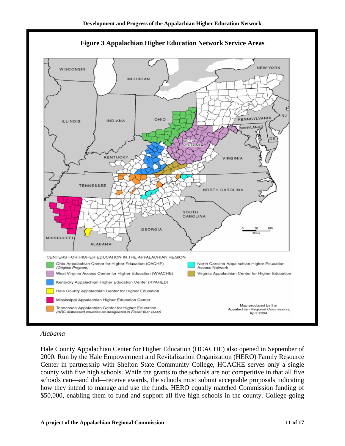

**Figure 3 Appalachian Higher Education Network Service Areas** 

#### *Alabama*

Hale County Appalachian Center for Higher Education (HCACHE) also opened in September of 2000. Run by the Hale Empowerment and Revitalization Organization (HERO) Family Resource Center in partnership with Shelton State Community College, HCACHE serves only a single county with five high schools. While the grants to the schools are not competitive in that all five schools can—and did—receive awards, the schools must submit acceptable proposals indicating how they intend to manage and use the funds. HERO equally matched Commission funding of \$50,000, enabling them to fund and support all five high schools in the county. College-going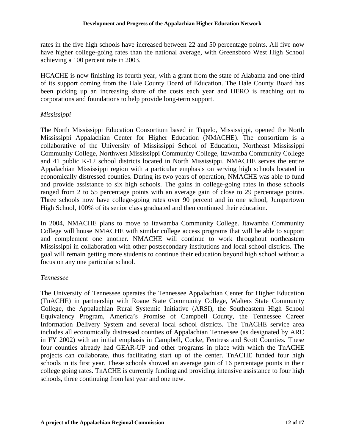rates in the five high schools have increased between 22 and 50 percentage points. All five now have higher college-going rates than the national average, with Greensboro West High School achieving a 100 percent rate in 2003.

HCACHE is now finishing its fourth year, with a grant from the state of Alabama and one-third of its support coming from the Hale County Board of Education. The Hale County Board has been picking up an increasing share of the costs each year and HERO is reaching out to corporations and foundations to help provide long-term support.

# *Mississippi*

The North Mississippi Education Consortium based in Tupelo, Mississippi, opened the North Mississippi Appalachian Center for Higher Education (NMACHE). The consortium is a collaborative of the University of Mississippi School of Education, Northeast Mississippi Community College, Northwest Mississippi Community College, Itawamba Community College and 41 public K-12 school districts located in North Mississippi. NMACHE serves the entire Appalachian Mississippi region with a particular emphasis on serving high schools located in economically distressed counties. During its two years of operation, NMACHE was able to fund and provide assistance to six high schools. The gains in college-going rates in those schools ranged from 2 to 55 percentage points with an average gain of close to 29 percentage points. Three schools now have college-going rates over 90 percent and in one school, Jumpertown High School, 100% of its senior class graduated and then continued their education.

In 2004, NMACHE plans to move to Itawamba Community College. Itawamba Community College will house NMACHE with similar college access programs that will be able to support and complement one another. NMACHE will continue to work throughout northeastern Mississippi in collaboration with other postsecondary institutions and local school districts. The goal will remain getting more students to continue their education beyond high school without a focus on any one particular school.

### *Tennessee*

The University of Tennessee operates the Tennessee Appalachian Center for Higher Education (TnACHE) in partnership with Roane State Community College, Walters State Community College, the Appalachian Rural Systemic Initiative (ARSI), the Southeastern High School Equivalency Program, America's Promise of Campbell County, the Tennessee Career Information Delivery System and several local school districts. The TnACHE service area includes all economically distressed counties of Appalachian Tennessee (as designated by ARC in FY 2002) with an initial emphasis in Campbell, Cocke, Fentress and Scott Counties. These four counties already had GEAR-UP and other programs in place with which the TnACHE projects can collaborate, thus facilitating start up of the center. TnACHE funded four high schools in its first year. These schools showed an average gain of 16 percentage points in their college going rates. TnACHE is currently funding and providing intensive assistance to four high schools, three continuing from last year and one new.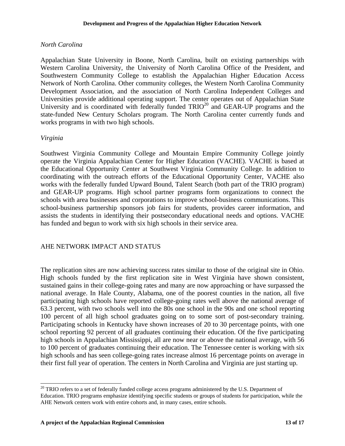#### *North Carolina*

Appalachian State University in Boone, North Carolina, built on existing partnerships with Western Carolina University, the University of North Carolina Office of the President, and Southwestern Community College to establish the Appalachian Higher Education Access Network of North Carolina. Other community colleges, the Western North Carolina Community Development Association, and the association of North Carolina Independent Colleges and Universities provide additional operating support. The center operates out of Appalachian State University and is coordinated with federally funded  $TRIO^{20}$  and GEAR-UP programs and the state-funded New Century Scholars program. The North Carolina center currently funds and works programs in with two high schools.

#### *Virginia*

l

Southwest Virginia Community College and Mountain Empire Community College jointly operate the Virginia Appalachian Center for Higher Education (VACHE). VACHE is based at the Educational Opportunity Center at Southwest Virginia Community College. In addition to coordinating with the outreach efforts of the Educational Opportunity Center, VACHE also works with the federally funded Upward Bound, Talent Search (both part of the TRIO program) and GEAR-UP programs. High school partner programs form organizations to connect the schools with area businesses and corporations to improve school-business communications. This school-business partnership sponsors job fairs for students, provides career information, and assists the students in identifying their postsecondary educational needs and options. VACHE has funded and begun to work with six high schools in their service area.

### AHE NETWORK IMPACT AND STATUS

The replication sites are now achieving success rates similar to those of the original site in Ohio. High schools funded by the first replication site in West Virginia have shown consistent, sustained gains in their college-going rates and many are now approaching or have surpassed the national average. In Hale County, Alabama, one of the poorest counties in the nation, all five participating high schools have reported college-going rates well above the national average of 63.3 percent, with two schools well into the 80s one school in the 90s and one school reporting 100 percent of all high school graduates going on to some sort of post-secondary training. Participating schools in Kentucky have shown increases of 20 to 30 percentage points, with one school reporting 92 percent of all graduates continuing their education. Of the five participating high schools in Appalachian Mississippi, all are now near or above the national average, with 56 to 100 percent of graduates continuing their education. The Tennessee center is working with six high schools and has seen college-going rates increase almost 16 percentage points on average in their first full year of operation. The centers in North Carolina and Virginia are just starting up.

 $20$  TRIO refers to a set of federally funded college access programs administered by the U.S. Department of Education. TRIO programs emphasize identifying specific students or groups of students for participation, while the AHE Network centers work with entire cohorts and, in many cases, entire schools.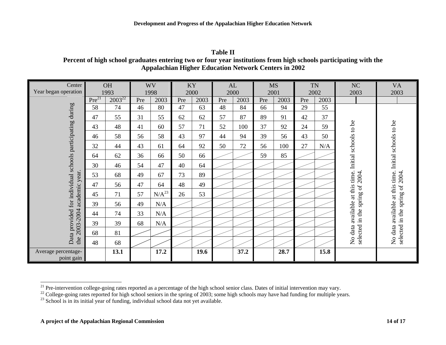| וח<br>ı<br>H |  |
|--------------|--|
|              |  |

**Percent of high school graduates entering two or four year institutions from high schools participating with the Appalachian Higher Education Network Centers in 2002** 

| Center                                                                                                |                   | <b>OH</b>   |     | <b>WV</b>  |     | KY   |     | AL   |      | <b>MS</b> |     | <b>TN</b> | NC                                                                                            | <b>VA</b>                                                                                              |
|-------------------------------------------------------------------------------------------------------|-------------------|-------------|-----|------------|-----|------|-----|------|------|-----------|-----|-----------|-----------------------------------------------------------------------------------------------|--------------------------------------------------------------------------------------------------------|
| Year began operation                                                                                  |                   | 1993        |     | 1998       |     | 2000 |     | 2000 | 2001 |           |     | 2002      | 2003                                                                                          | 2003                                                                                                   |
|                                                                                                       | Pre <sup>21</sup> | $2003^{22}$ | Pre | 2003       | Pre | 2003 | Pre | 2003 | Pre  | 2003      | Pre | 2003      |                                                                                               |                                                                                                        |
|                                                                                                       | 58                | 74          | 46  | 80         | 47  | 63   | 48  | 84   | 66   | 94        | 29  | 55        |                                                                                               | Initial schools to be<br>No data available at this time.<br>2004.<br>spring of 2<br>in the<br>selected |
|                                                                                                       | 47                | 55          | 31  | 55         | 62  | 62   | 57  | 87   | 89   | 91        | 42  | 37        |                                                                                               |                                                                                                        |
|                                                                                                       | 43                | 48          | 41  | 60         | 57  | 71   | 52  | 100  | 37   | 92        | 24  | 59        | Initial schools to be                                                                         |                                                                                                        |
|                                                                                                       | 46                | 58          | 56  | 58         | 43  | 97   | 44  | 94   | 39   | 56        | 43  | 50        |                                                                                               |                                                                                                        |
|                                                                                                       | 32                | 44          | 43  | 61         | 64  | 92   | 50  | 72   | 56   | 100       | 27  | N/A       |                                                                                               |                                                                                                        |
|                                                                                                       | 64                | 62          | 36  | 66         | 50  | 66   |     |      | 59   | 85        |     |           |                                                                                               |                                                                                                        |
| Data provided for individual schools participating during<br>academic year.<br>$-2004$<br>2003<br>the | 30                | 46          | 54  | 47         | 40  | 64   |     |      |      |           |     |           | available at this time.<br>2004.<br>$\mathfrak{b}$<br>spring<br>in the<br>selected<br>No data |                                                                                                        |
|                                                                                                       | 53                | 68          | 49  | 67         | 73  | 89   |     |      |      |           |     |           |                                                                                               |                                                                                                        |
|                                                                                                       | 47                | 56          | 47  | 64         | 48  | 49   |     |      |      |           |     |           |                                                                                               |                                                                                                        |
|                                                                                                       | 45                | 71          | 57  | $N/A^{23}$ | 26  | 53   |     |      |      |           |     |           |                                                                                               |                                                                                                        |
|                                                                                                       | 39                | 56          | 49  | N/A        |     |      |     |      |      |           |     |           |                                                                                               |                                                                                                        |
|                                                                                                       | 44                | 74          | 33  | N/A        |     |      |     |      |      |           |     |           |                                                                                               |                                                                                                        |
|                                                                                                       | 39                | 39          | 68  | N/A        |     |      |     |      |      |           |     |           |                                                                                               |                                                                                                        |
|                                                                                                       | 68                | 81          |     |            |     |      |     |      |      |           |     |           |                                                                                               |                                                                                                        |
|                                                                                                       | 48                | 68          |     |            |     |      |     |      |      |           |     |           |                                                                                               |                                                                                                        |
| Average percentage-<br>point gain                                                                     |                   | 13.1        |     | 17.2       |     | 19.6 |     | 37.2 |      | 28.7      |     | 15.8      |                                                                                               |                                                                                                        |

<sup>&</sup>lt;sup>21</sup> Pre-intervention college-going rates reported as a percentage of the high school senior class. Dates of initial intervention may vary.

 $^{22}$  College-going rates reported for high school seniors in the spring of 2003; some high schools may have had funding for multiple years.

 $2<sup>23</sup>$  School is in its initial year of funding, individual school data not yet available.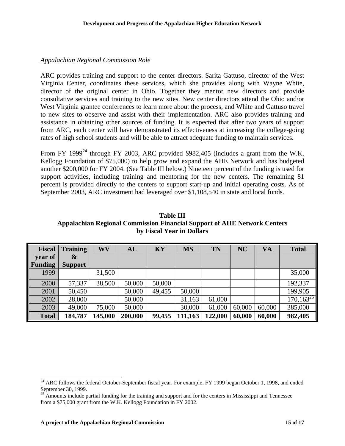#### *Appalachian Regional Commission Role*

ARC provides training and support to the center directors. Sarita Gattuso, director of the West Virginia Center, coordinates these services, which she provides along with Wayne White, director of the original center in Ohio. Together they mentor new directors and provide consultative services and training to the new sites. New center directors attend the Ohio and/or West Virginia grantee conferences to learn more about the process, and White and Gattuso travel to new sites to observe and assist with their implementation. ARC also provides training and assistance in obtaining other sources of funding. It is expected that after two years of support from ARC, each center will have demonstrated its effectiveness at increasing the college-going rates of high school students and will be able to attract adequate funding to maintain services.

From FY 1999<sup>24</sup> through FY 2003, ARC provided \$982,405 (includes a grant from the W.K. Kellogg Foundation of \$75,000) to help grow and expand the AHE Network and has budgeted another \$200,000 for FY 2004. (See Table III below.) Nineteen percent of the funding is used for support activities, including training and mentoring for the new centers. The remaining 81 percent is provided directly to the centers to support start-up and initial operating costs. As of September 2003, ARC investment had leveraged over \$1,108,540 in state and local funds.

**Table III Appalachian Regional Commission Financial Support of AHE Network Centers by Fiscal Year in Dollars**

| <b>Fiscal</b>  | <b>Training</b>       | WV      | AL      | KY     | <b>MS</b> | TN      | <b>NC</b> | <b>VA</b> | <b>Total</b>    |
|----------------|-----------------------|---------|---------|--------|-----------|---------|-----------|-----------|-----------------|
| year of        | $\boldsymbol{\alpha}$ |         |         |        |           |         |           |           |                 |
| <b>Funding</b> | <b>Support</b>        |         |         |        |           |         |           |           |                 |
| 1999           |                       | 31,500  |         |        |           |         |           |           | 35,000          |
| 2000           | 57,337                | 38,500  | 50,000  | 50,000 |           |         |           |           | 192,337         |
| 2001           | 50,450                |         | 50,000  | 49,455 | 50,000    |         |           |           | 199,905         |
| 2002           | 28,000                |         | 50,000  |        | 31,163    | 61,000  |           |           | $170, 163^{25}$ |
| 2003           | 49,000                | 75,000  | 50,000  |        | 30,000    | 61,000  | 60,000    | 60,000    | 385,000         |
| <b>Total</b>   | 184,787               | 145,000 | 200,000 | 99,455 | 111,163   | 122,000 | 60,000    | 60,000    | 982,405         |

 $\overline{a}$ 

 $24$  ARC follows the federal October-September fiscal year. For example, FY 1999 began October 1, 1998, and ended September 30, 1999.

<sup>&</sup>lt;sup>25</sup> Amounts include partial funding for the training and support and for the centers in Mississippi and Tennessee from a \$75,000 grant from the W.K. Kellogg Foundation in FY 2002.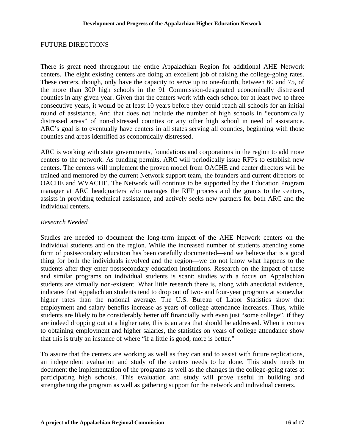#### FUTURE DIRECTIONS

There is great need throughout the entire Appalachian Region for additional AHE Network centers. The eight existing centers are doing an excellent job of raising the college-going rates. These centers, though, only have the capacity to serve up to one-fourth, between 60 and 75, of the more than 300 high schools in the 91 Commission-designated economically distressed counties in any given year. Given that the centers work with each school for at least two to three consecutive years, it would be at least 10 years before they could reach all schools for an initial round of assistance. And that does not include the number of high schools in "economically distressed areas" of non-distressed counties or any other high school in need of assistance. ARC's goal is to eventually have centers in all states serving all counties, beginning with those counties and areas identified as economically distressed.

ARC is working with state governments, foundations and corporations in the region to add more centers to the network. As funding permits, ARC will periodically issue RFPs to establish new centers. The centers will implement the proven model from OACHE and center directors will be trained and mentored by the current Network support team, the founders and current directors of OACHE and WVACHE. The Network will continue to be supported by the Education Program manager at ARC headquarters who manages the RFP process and the grants to the centers, assists in providing technical assistance, and actively seeks new partners for both ARC and the individual centers.

#### *Research Needed*

Studies are needed to document the long-term impact of the AHE Network centers on the individual students and on the region. While the increased number of students attending some form of postsecondary education has been carefully documented—and we believe that is a good thing for both the individuals involved and the region—we do not know what happens to the students after they enter postsecondary education institutions. Research on the impact of these and similar programs on individual students is scant; studies with a focus on Appalachian students are virtually non-existent. What little research there is, along with anecdotal evidence, indicates that Appalachian students tend to drop out of two- and four-year programs at somewhat higher rates than the national average. The U.S. Bureau of Labor Statistics show that employment and salary benefits increase as years of college attendance increases. Thus, while students are likely to be considerably better off financially with even just "some college", if they are indeed dropping out at a higher rate, this is an area that should be addressed. When it comes to obtaining employment and higher salaries, the statistics on years of college attendance show that this is truly an instance of where "if a little is good, more is better."

To assure that the centers are working as well as they can and to assist with future replications, an independent evaluation and study of the centers needs to be done. This study needs to document the implementation of the programs as well as the changes in the college-going rates at participating high schools. This evaluation and study will prove useful in building and strengthening the program as well as gathering support for the network and individual centers.